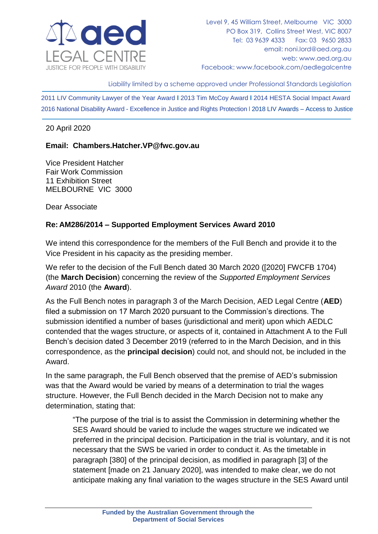

Liability limited by a scheme approved under Professional Standards Legislation

2011 LIV Community Lawyer of the Year Award **l** 2013 Tim McCoy Award **l** 2014 HESTA Social Impact Award 2016 National Disability Award - Excellence in Justice and Rights Protection l 2018 LIV Awards – Access to Justice

### 20 April 2020

### **Email: Chambers.Hatcher.VP@fwc.gov.au**

Vice President Hatcher Fair Work Commission 11 Exhibition Street MELBOURNE VIC 3000

Dear Associate

## **Re: AM286/2014 – Supported Employment Services Award 2010**

We intend this correspondence for the members of the Full Bench and provide it to the Vice President in his capacity as the presiding member.

We refer to the decision of the Full Bench dated 30 March 2020 ([2020] FWCFB 1704) (the **March Decision**) concerning the review of the *Supported Employment Services Award* 2010 (the **Award**).

As the Full Bench notes in paragraph 3 of the March Decision, AED Legal Centre (**AED**) filed a submission on 17 March 2020 pursuant to the Commission's directions. The submission identified a number of bases (jurisdictional and merit) upon which AEDLC contended that the wages structure, or aspects of it, contained in Attachment A to the Full Bench's decision dated 3 December 2019 (referred to in the March Decision, and in this correspondence, as the **principal decision**) could not, and should not, be included in the Award.

In the same paragraph, the Full Bench observed that the premise of AED's submission was that the Award would be varied by means of a determination to trial the wages structure. However, the Full Bench decided in the March Decision not to make any determination, stating that:

"The purpose of the trial is to assist the Commission in determining whether the SES Award should be varied to include the wages structure we indicated we preferred in the principal decision. Participation in the trial is voluntary, and it is not necessary that the SWS be varied in order to conduct it. As the timetable in paragraph [380] of the principal decision, as modified in paragraph [3] of the statement [made on 21 January 2020], was intended to make clear, we do not anticipate making any final variation to the wages structure in the SES Award until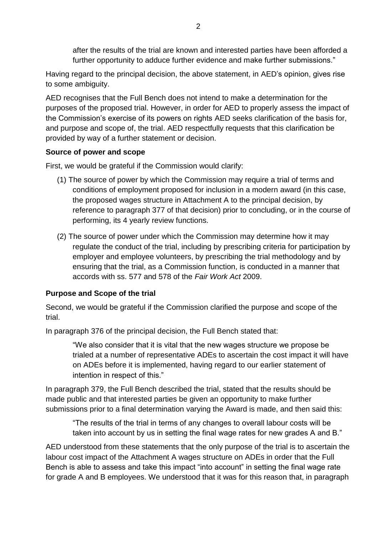after the results of the trial are known and interested parties have been afforded a further opportunity to adduce further evidence and make further submissions."

Having regard to the principal decision, the above statement, in AED's opinion, gives rise to some ambiguity.

AED recognises that the Full Bench does not intend to make a determination for the purposes of the proposed trial. However, in order for AED to properly assess the impact of the Commission's exercise of its powers on rights AED seeks clarification of the basis for, and purpose and scope of, the trial. AED respectfully requests that this clarification be provided by way of a further statement or decision.

### **Source of power and scope**

First, we would be grateful if the Commission would clarify:

- (1) The source of power by which the Commission may require a trial of terms and conditions of employment proposed for inclusion in a modern award (in this case, the proposed wages structure in Attachment A to the principal decision, by reference to paragraph 377 of that decision) prior to concluding, or in the course of performing, its 4 yearly review functions.
- (2) The source of power under which the Commission may determine how it may regulate the conduct of the trial, including by prescribing criteria for participation by employer and employee volunteers, by prescribing the trial methodology and by ensuring that the trial, as a Commission function, is conducted in a manner that accords with ss. 577 and 578 of the *Fair Work Act* 2009.

## **Purpose and Scope of the trial**

Second, we would be grateful if the Commission clarified the purpose and scope of the trial.

In paragraph 376 of the principal decision, the Full Bench stated that:

"We also consider that it is vital that the new wages structure we propose be trialed at a number of representative ADEs to ascertain the cost impact it will have on ADEs before it is implemented, having regard to our earlier statement of intention in respect of this."

In paragraph 379, the Full Bench described the trial, stated that the results should be made public and that interested parties be given an opportunity to make further submissions prior to a final determination varying the Award is made, and then said this:

"The results of the trial in terms of any changes to overall labour costs will be taken into account by us in setting the final wage rates for new grades A and B."

AED understood from these statements that the only purpose of the trial is to ascertain the labour cost impact of the Attachment A wages structure on ADEs in order that the Full Bench is able to assess and take this impact "into account" in setting the final wage rate for grade A and B employees. We understood that it was for this reason that, in paragraph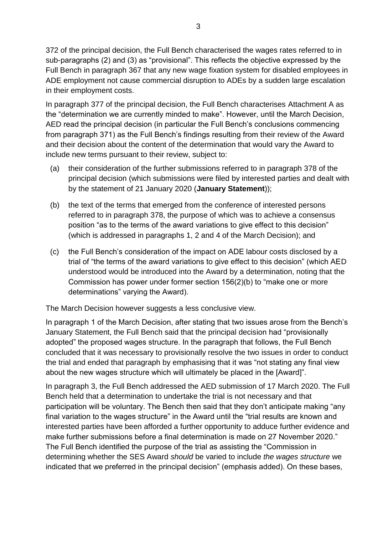372 of the principal decision, the Full Bench characterised the wages rates referred to in sub-paragraphs (2) and (3) as "provisional". This reflects the objective expressed by the Full Bench in paragraph 367 that any new wage fixation system for disabled employees in ADE employment not cause commercial disruption to ADEs by a sudden large escalation in their employment costs.

In paragraph 377 of the principal decision, the Full Bench characterises Attachment A as the "determination we are currently minded to make". However, until the March Decision, AED read the principal decision (in particular the Full Bench's conclusions commencing from paragraph 371) as the Full Bench's findings resulting from their review of the Award and their decision about the content of the determination that would vary the Award to include new terms pursuant to their review, subject to:

- (a) their consideration of the further submissions referred to in paragraph 378 of the principal decision (which submissions were filed by interested parties and dealt with by the statement of 21 January 2020 (**January Statement**));
- (b) the text of the terms that emerged from the conference of interested persons referred to in paragraph 378, the purpose of which was to achieve a consensus position "as to the terms of the award variations to give effect to this decision" (which is addressed in paragraphs 1, 2 and 4 of the March Decision); and
- (c) the Full Bench's consideration of the impact on ADE labour costs disclosed by a trial of "the terms of the award variations to give effect to this decision" (which AED understood would be introduced into the Award by a determination, noting that the Commission has power under former section 156(2)(b) to "make one or more determinations" varying the Award).

The March Decision however suggests a less conclusive view.

In paragraph 1 of the March Decision, after stating that two issues arose from the Bench's January Statement, the Full Bench said that the principal decision had "provisionally adopted" the proposed wages structure. In the paragraph that follows, the Full Bench concluded that it was necessary to provisionally resolve the two issues in order to conduct the trial and ended that paragraph by emphasising that it was "not stating any final view about the new wages structure which will ultimately be placed in the [Award]".

In paragraph 3, the Full Bench addressed the AED submission of 17 March 2020. The Full Bench held that a determination to undertake the trial is not necessary and that participation will be voluntary. The Bench then said that they don't anticipate making "any final variation to the wages structure" in the Award until the "trial results are known and interested parties have been afforded a further opportunity to adduce further evidence and make further submissions before a final determination is made on 27 November 2020." The Full Bench identified the purpose of the trial as assisting the "Commission in determining whether the SES Award *should* be varied to include *the wages structure* we indicated that we preferred in the principal decision" (emphasis added). On these bases,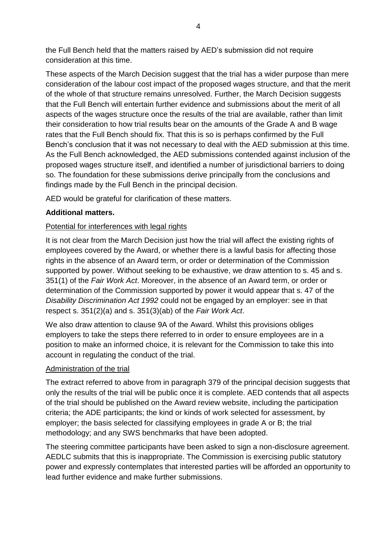the Full Bench held that the matters raised by AED's submission did not require consideration at this time.

These aspects of the March Decision suggest that the trial has a wider purpose than mere consideration of the labour cost impact of the proposed wages structure, and that the merit of the whole of that structure remains unresolved. Further, the March Decision suggests that the Full Bench will entertain further evidence and submissions about the merit of all aspects of the wages structure once the results of the trial are available, rather than limit their consideration to how trial results bear on the amounts of the Grade A and B wage rates that the Full Bench should fix. That this is so is perhaps confirmed by the Full Bench's conclusion that it was not necessary to deal with the AED submission at this time. As the Full Bench acknowledged, the AED submissions contended against inclusion of the proposed wages structure itself, and identified a number of jurisdictional barriers to doing so. The foundation for these submissions derive principally from the conclusions and findings made by the Full Bench in the principal decision.

AED would be grateful for clarification of these matters.

# **Additional matters.**

## Potential for interferences with legal rights

It is not clear from the March Decision just how the trial will affect the existing rights of employees covered by the Award, or whether there is a lawful basis for affecting those rights in the absence of an Award term, or order or determination of the Commission supported by power. Without seeking to be exhaustive, we draw attention to s. 45 and s. 351(1) of the *Fair Work Act*. Moreover, in the absence of an Award term, or order or determination of the Commission supported by power it would appear that s. 47 of the *Disability Discrimination Act 1992* could not be engaged by an employer: see in that respect s. 351(2)(a) and s. 351(3)(ab) of the *Fair Work Act*.

We also draw attention to clause 9A of the Award. Whilst this provisions obliges employers to take the steps there referred to in order to ensure employees are in a position to make an informed choice, it is relevant for the Commission to take this into account in regulating the conduct of the trial.

## Administration of the trial

The extract referred to above from in paragraph 379 of the principal decision suggests that only the results of the trial will be public once it is complete. AED contends that all aspects of the trial should be published on the Award review website, including the participation criteria; the ADE participants; the kind or kinds of work selected for assessment, by employer; the basis selected for classifying employees in grade A or B; the trial methodology; and any SWS benchmarks that have been adopted.

The steering committee participants have been asked to sign a non-disclosure agreement. AEDLC submits that this is inappropriate. The Commission is exercising public statutory power and expressly contemplates that interested parties will be afforded an opportunity to lead further evidence and make further submissions.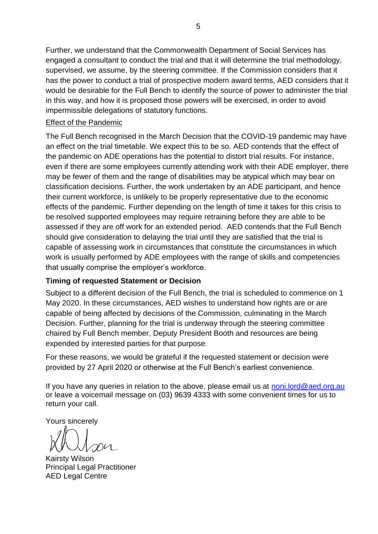Further, we understand that the Commonwealth Department of Social Services has engaged a consultant to conduct the trial and that it will determine the trial methodology, supervised, we assume, by the steering committee. If the Commission considers that it has the power to conduct a trial of prospective modern award terms, AED considers that it would be desirable for the Full Bench to identify the source of power to administer the trial in this way, and how it is proposed those powers will be exercised, in order to avoid impermissible delegations of statutory functions.

### Effect of the Pandemic

The Full Bench recognised in the March Decision that the COVID-19 pandemic may have an effect on the trial timetable. We expect this to be so. AED contends that the effect of the pandemic on ADE operations has the potential to distort trial results. For instance, even if there are some employees currently attending work with their ADE employer, there may be fewer of them and the range of disabilities may be atypical which may bear on classification decisions. Further, the work undertaken by an ADE participant, and hence their current workforce, is unlikely to be properly representative due to the economic effects of the pandemic. Further depending on the length of time it takes for this crisis to be resolved supported employees may require retraining before they are able to be assessed if they are off work for an extended period. AED contends that the Full Bench should give consideration to delaying the trial until they are satisfied that the trial is capable of assessing work in circumstances that constitute the circumstances in which work is usually performed by ADE employees with the range of skills and competencies that usually comprise the employer's workforce.

## **Timing of requested Statement or Decision**

Subject to a different decision of the Full Bench, the trial is scheduled to commence on 1 May 2020. In these circumstances, AED wishes to understand how rights are or are capable of being affected by decisions of the Commission, culminating in the March Decision. Further, planning for the trial is underway through the steering committee chaired by Full Bench member, Deputy President Booth and resources are being expended by interested parties for that purpose.

For these reasons, we would be grateful if the requested statement or decision were provided by 27 April 2020 or otherwise at the Full Bench's earliest convenience.

If you have any queries in relation to the above, please email us at [noni.lord@aed.org.au](mailto:noni.lord@aed.org.au) or leave a voicemail message on (03) 9639 4333 with some convenient times for us to return your call.

Yours sincerely

Kairsty Wilson Principal Legal Practitioner AED Legal Centre